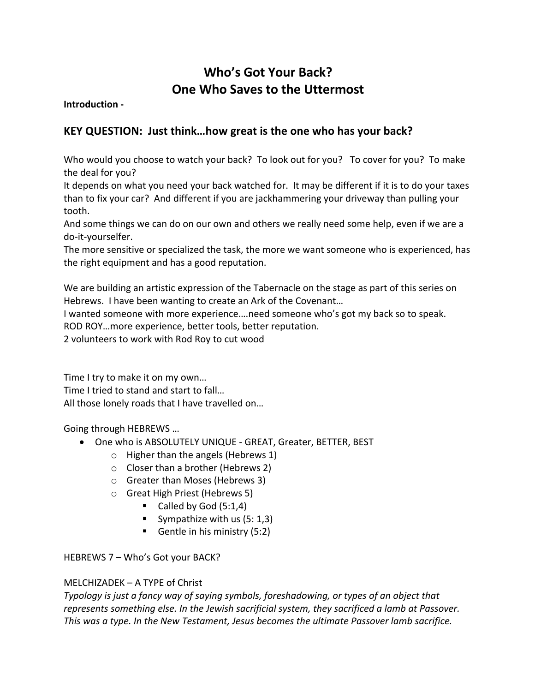# **Who's Got Your Back? One Who Saves to the Uttermost**

**Introduction -**

## **KEY QUESTION: Just think…how great is the one who has your back?**

Who would you choose to watch your back? To look out for you? To cover for you? To make the deal for you?

It depends on what you need your back watched for. It may be different if it is to do your taxes than to fix your car? And different if you are jackhammering your driveway than pulling your tooth.

And some things we can do on our own and others we really need some help, even if we are a do-it-yourselfer.

The more sensitive or specialized the task, the more we want someone who is experienced, has the right equipment and has a good reputation.

We are building an artistic expression of the Tabernacle on the stage as part of this series on Hebrews. I have been wanting to create an Ark of the Covenant…

I wanted someone with more experience….need someone who's got my back so to speak. ROD ROY…more experience, better tools, better reputation.

2 volunteers to work with Rod Roy to cut wood

Time I try to make it on my own… Time I tried to stand and start to fall… All those lonely roads that I have travelled on…

Going through HEBREWS …

- One who is ABSOLUTELY UNIQUE GREAT, Greater, BETTER, BEST
	- o Higher than the angels (Hebrews 1)
	- o Closer than a brother (Hebrews 2)
	- o Greater than Moses (Hebrews 3)
	- o Great High Priest (Hebrews 5)
		- Called by God  $(5:1,4)$
		- Sympathize with us  $(5: 1,3)$
		- Gentle in his ministry (5:2)

HEBREWS 7 – Who's Got your BACK?

### MELCHIZADEK – A TYPE of Christ

*Typology is just a fancy way of saying symbols, foreshadowing, or types of an object that represents something else. In the Jewish sacrificial system, they sacrificed a lamb at Passover. This was a type. In the New Testament, Jesus becomes the ultimate Passover lamb sacrifice.*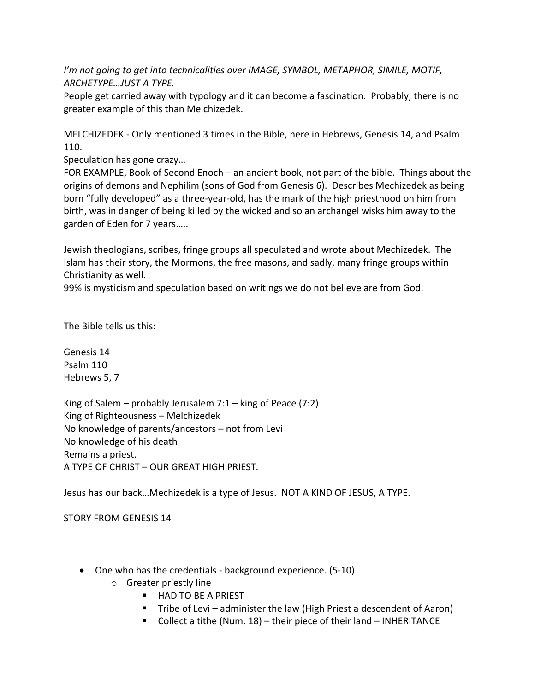*I'm not going to get into technicalities over IMAGE, SYMBOL, METAPHOR, SIMILE, MOTIF, ARCHETYPE…JUST A TYPE.* 

People get carried away with typology and it can become a fascination. Probably, there is no greater example of this than Melchizedek.

MELCHIZEDEK - Only mentioned 3 times in the Bible, here in Hebrews, Genesis 14, and Psalm 110.

Speculation has gone crazy…

FOR EXAMPLE, Book of Second Enoch – an ancient book, not part of the bible. Things about the origins of demons and Nephilim (sons of God from Genesis 6). Describes Mechizedek as being born "fully developed" as a three-year-old, has the mark of the high priesthood on him from birth, was in danger of being killed by the wicked and so an archangel wisks him away to the garden of Eden for 7 years…..

Jewish theologians, scribes, fringe groups all speculated and wrote about Mechizedek. The Islam has their story, the Mormons, the free masons, and sadly, many fringe groups within Christianity as well.

99% is mysticism and speculation based on writings we do not believe are from God.

The Bible tells us this:

Genesis 14 Psalm 110 Hebrews 5, 7

King of Salem – probably Jerusalem  $7:1 -$  king of Peace (7:2) King of Righteousness – Melchizedek No knowledge of parents/ancestors – not from Levi No knowledge of his death Remains a priest. A TYPE OF CHRIST – OUR GREAT HIGH PRIEST.

Jesus has our back…Mechizedek is a type of Jesus. NOT A KIND OF JESUS, A TYPE.

STORY FROM GENESIS 14

- One who has the credentials background experience. (5-10)
	- o Greater priestly line
		- HAD TO BE A PRIEST
		- Tribe of Levi administer the law (High Priest a descendent of Aaron)
		- Collect a tithe (Num. 18) their piece of their land INHERITANCE